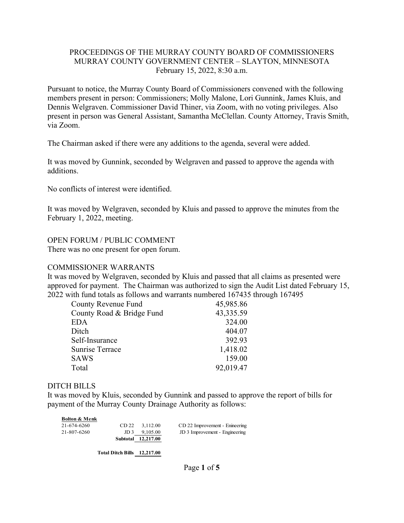#### PROCEEDINGS OF THE MURRAY COUNTY BOARD OF COMMISSIONERS MURRAY COUNTY GOVERNMENT CENTER – SLAYTON, MINNESOTA February 15, 2022, 8:30 a.m.

Pursuant to notice, the Murray County Board of Commissioners convened with the following members present in person: Commissioners; Molly Malone, Lori Gunnink, James Kluis, and Dennis Welgraven. Commissioner David Thiner, via Zoom, with no voting privileges. Also present in person was General Assistant, Samantha McClellan. County Attorney, Travis Smith, via Zoom.

The Chairman asked if there were any additions to the agenda, several were added.

It was moved by Gunnink, seconded by Welgraven and passed to approve the agenda with additions.

No conflicts of interest were identified.

It was moved by Welgraven, seconded by Kluis and passed to approve the minutes from the February 1, 2022, meeting.

#### OPEN FORUM / PUBLIC COMMENT

There was no one present for open forum.

#### COMMISSIONER WARRANTS

It was moved by Welgraven, seconded by Kluis and passed that all claims as presented were approved for payment. The Chairman was authorized to sign the Audit List dated February 15, 2022 with fund totals as follows and warrants numbered 167435 through 167495

| County Revenue Fund       | 45,985.86 |
|---------------------------|-----------|
| County Road & Bridge Fund | 43,335.59 |
| EDA                       | 324.00    |
| Ditch                     | 404.07    |
| Self-Insurance            | 392.93    |
| <b>Sunrise Terrace</b>    | 1,418.02  |
| SAWS                      | 159.00    |
| Total                     | 92,019.47 |

#### DITCH BILLS

**Bolton & Menk**

It was moved by Kluis, seconded by Gunnink and passed to approve the report of bills for payment of the Murray County Drainage Authority as follows:

| роцон оз менк |                    |                                |
|---------------|--------------------|--------------------------------|
| 21-674-6260   | CD 22 3.112.00     | CD 22 Improvement - Enineering |
| 21-807-6260   | $JD 3$ 9.105.00    | JD 3 Improvement - Engineering |
|               | Subtotal 12,217.00 |                                |

**Total Ditch Bills 12,217.00**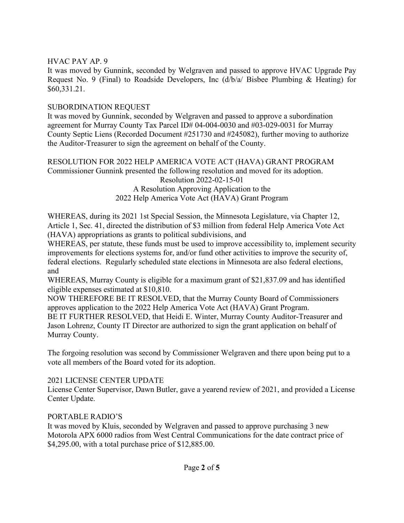## HVAC PAY AP. 9

It was moved by Gunnink, seconded by Welgraven and passed to approve HVAC Upgrade Pay Request No. 9 (Final) to Roadside Developers, Inc (d/b/a/ Bisbee Plumbing & Heating) for \$60,331.21.

## SUBORDINATION REQUEST

It was moved by Gunnink, seconded by Welgraven and passed to approve a subordination agreement for Murray County Tax Parcel ID# 04-004-0030 and #03-029-0031 for Murray County Septic Liens (Recorded Document #251730 and #245082), further moving to authorize the Auditor-Treasurer to sign the agreement on behalf of the County.

#### RESOLUTION FOR 2022 HELP AMERICA VOTE ACT (HAVA) GRANT PROGRAM Commissioner Gunnink presented the following resolution and moved for its adoption. Resolution 2022-02-15-01 A Resolution Approving Application to the

# 2022 Help America Vote Act (HAVA) Grant Program

WHEREAS, during its 2021 1st Special Session, the Minnesota Legislature, via Chapter 12, Article 1, Sec. 41, directed the distribution of \$3 million from federal Help America Vote Act (HAVA) appropriations as grants to political subdivisions, and

WHEREAS, per statute, these funds must be used to improve accessibility to, implement security improvements for elections systems for, and/or fund other activities to improve the security of, federal elections. Regularly scheduled state elections in Minnesota are also federal elections, and

WHEREAS, Murray County is eligible for a maximum grant of \$21,837.09 and has identified eligible expenses estimated at \$10,810.

NOW THEREFORE BE IT RESOLVED, that the Murray County Board of Commissioners approves application to the 2022 Help America Vote Act (HAVA) Grant Program.

BE IT FURTHER RESOLVED, that Heidi E. Winter, Murray County Auditor-Treasurer and Jason Lohrenz, County IT Director are authorized to sign the grant application on behalf of Murray County.

The forgoing resolution was second by Commissioner Welgraven and there upon being put to a vote all members of the Board voted for its adoption.

# 2021 LICENSE CENTER UPDATE

License Center Supervisor, Dawn Butler, gave a yearend review of 2021, and provided a License Center Update.

# PORTABLE RADIO'S

It was moved by Kluis, seconded by Welgraven and passed to approve purchasing 3 new Motorola APX 6000 radios from West Central Communications for the date contract price of \$4,295.00, with a total purchase price of \$12,885.00.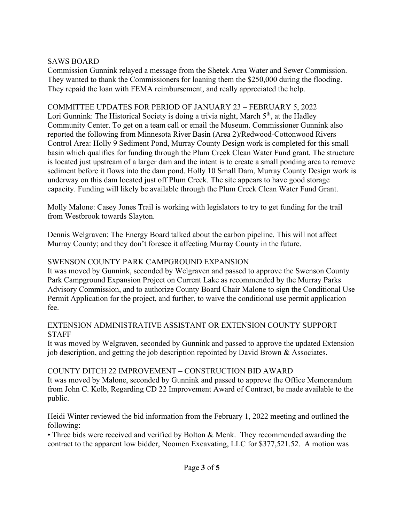## SAWS BOARD

Commission Gunnink relayed a message from the Shetek Area Water and Sewer Commission. They wanted to thank the Commissioners for loaning them the \$250,000 during the flooding. They repaid the loan with FEMA reimbursement, and really appreciated the help.

## COMMITTEE UPDATES FOR PERIOD OF JANUARY 23 – FEBRUARY 5, 2022

Lori Gunnink: The Historical Society is doing a trivia night, March  $5<sup>th</sup>$ , at the Hadley Community Center. To get on a team call or email the Museum. Commissioner Gunnink also reported the following from Minnesota River Basin (Area 2)/Redwood-Cottonwood Rivers Control Area: Holly 9 Sediment Pond, Murray County Design work is completed for this small basin which qualifies for funding through the Plum Creek Clean Water Fund grant. The structure is located just upstream of a larger dam and the intent is to create a small ponding area to remove sediment before it flows into the dam pond. Holly 10 Small Dam, Murray County Design work is underway on this dam located just off Plum Creek. The site appears to have good storage capacity. Funding will likely be available through the Plum Creek Clean Water Fund Grant.

Molly Malone: Casey Jones Trail is working with legislators to try to get funding for the trail from Westbrook towards Slayton.

Dennis Welgraven: The Energy Board talked about the carbon pipeline. This will not affect Murray County; and they don't foresee it affecting Murray County in the future.

## SWENSON COUNTY PARK CAMPGROUND EXPANSION

It was moved by Gunnink, seconded by Welgraven and passed to approve the Swenson County Park Campground Expansion Project on Current Lake as recommended by the Murray Parks Advisory Commission, and to authorize County Board Chair Malone to sign the Conditional Use Permit Application for the project, and further, to waive the conditional use permit application fee.

#### EXTENSION ADMINISTRATIVE ASSISTANT OR EXTENSION COUNTY SUPPORT **STAFF**

It was moved by Welgraven, seconded by Gunnink and passed to approve the updated Extension job description, and getting the job description repointed by David Brown & Associates.

# COUNTY DITCH 22 IMPROVEMENT – CONSTRUCTION BID AWARD

It was moved by Malone, seconded by Gunnink and passed to approve the Office Memorandum from John C. Kolb, Regarding CD 22 Improvement Award of Contract, be made available to the public.

Heidi Winter reviewed the bid information from the February 1, 2022 meeting and outlined the following:

• Three bids were received and verified by Bolton & Menk. They recommended awarding the contract to the apparent low bidder, Noomen Excavating, LLC for \$377,521.52. A motion was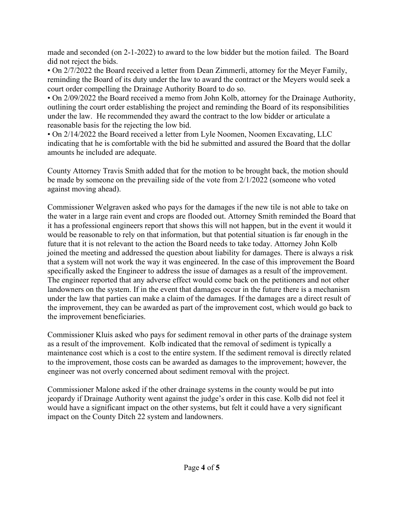made and seconded (on 2-1-2022) to award to the low bidder but the motion failed. The Board did not reject the bids.

• On 2/7/2022 the Board received a letter from Dean Zimmerli, attorney for the Meyer Family, reminding the Board of its duty under the law to award the contract or the Meyers would seek a court order compelling the Drainage Authority Board to do so.

• On 2/09/2022 the Board received a memo from John Kolb, attorney for the Drainage Authority, outlining the court order establishing the project and reminding the Board of its responsibilities under the law. He recommended they award the contract to the low bidder or articulate a reasonable basis for the rejecting the low bid.

• On 2/14/2022 the Board received a letter from Lyle Noomen, Noomen Excavating, LLC indicating that he is comfortable with the bid he submitted and assured the Board that the dollar amounts he included are adequate.

County Attorney Travis Smith added that for the motion to be brought back, the motion should be made by someone on the prevailing side of the vote from 2/1/2022 (someone who voted against moving ahead).

Commissioner Welgraven asked who pays for the damages if the new tile is not able to take on the water in a large rain event and crops are flooded out. Attorney Smith reminded the Board that it has a professional engineers report that shows this will not happen, but in the event it would it would be reasonable to rely on that information, but that potential situation is far enough in the future that it is not relevant to the action the Board needs to take today. Attorney John Kolb joined the meeting and addressed the question about liability for damages. There is always a risk that a system will not work the way it was engineered. In the case of this improvement the Board specifically asked the Engineer to address the issue of damages as a result of the improvement. The engineer reported that any adverse effect would come back on the petitioners and not other landowners on the system. If in the event that damages occur in the future there is a mechanism under the law that parties can make a claim of the damages. If the damages are a direct result of the improvement, they can be awarded as part of the improvement cost, which would go back to the improvement beneficiaries.

Commissioner Kluis asked who pays for sediment removal in other parts of the drainage system as a result of the improvement. Kolb indicated that the removal of sediment is typically a maintenance cost which is a cost to the entire system. If the sediment removal is directly related to the improvement, those costs can be awarded as damages to the improvement; however, the engineer was not overly concerned about sediment removal with the project.

Commissioner Malone asked if the other drainage systems in the county would be put into jeopardy if Drainage Authority went against the judge's order in this case. Kolb did not feel it would have a significant impact on the other systems, but felt it could have a very significant impact on the County Ditch 22 system and landowners.